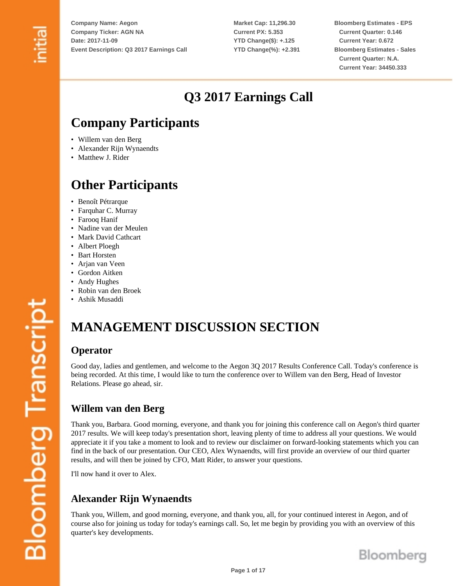**Market Cap: 11,296.30 Current PX: 5.353 YTD Change(\$): +.125 YTD Change(%): +2.391** **Bloomberg Estimates - EPS Current Quarter: 0.146 Current Year: 0.672 Bloomberg Estimates - Sales Current Quarter: N.A. Current Year: 34450.333**

# **Q3 2017 Earnings Call**

# **Company Participants**

- Willem van den Berg
- Alexander Rijn Wynaendts
- Matthew J. Rider

## **Other Participants**

- Benoît Pétrarque
- Farquhar C. Murray
- Farooq Hanif
- Nadine van der Meulen
- Mark David Cathcart
- Albert Ploegh
- Bart Horsten
- Arjan van Veen
- Gordon Aitken
- Andy Hughes
- Robin van den Broek
- Ashik Musaddi

# **MANAGEMENT DISCUSSION SECTION**

#### **Operator**

Good day, ladies and gentlemen, and welcome to the Aegon 3Q 2017 Results Conference Call. Today's conference is being recorded. At this time, I would like to turn the conference over to Willem van den Berg, Head of Investor Relations. Please go ahead, sir.

#### **Willem van den Berg**

Thank you, Barbara. Good morning, everyone, and thank you for joining this conference call on Aegon's third quarter 2017 results. We will keep today's presentation short, leaving plenty of time to address all your questions. We would appreciate it if you take a moment to look and to review our disclaimer on forward-looking statements which you can find in the back of our presentation. Our CEO, Alex Wynaendts, will first provide an overview of our third quarter results, and will then be joined by CFO, Matt Rider, to answer your questions.

I'll now hand it over to Alex.

#### **Alexander Rijn Wynaendts**

Thank you, Willem, and good morning, everyone, and thank you, all, for your continued interest in Aegon, and of course also for joining us today for today's earnings call. So, let me begin by providing you with an overview of this quarter's key developments.

**Page 1 of 17**

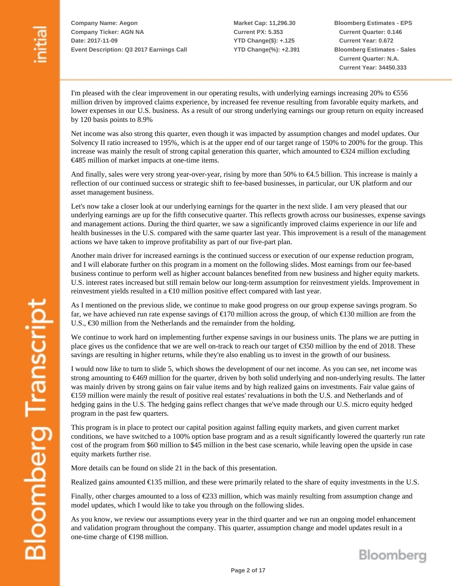**Market Cap: 11,296.30 Current PX: 5.353 YTD Change(\$): +.125 YTD Change(%): +2.391** **Bloomberg Estimates - EPS Current Quarter: 0.146 Current Year: 0.672 Bloomberg Estimates - Sales Current Quarter: N.A. Current Year: 34450.333**

I'm pleased with the clear improvement in our operating results, with underlying earnings increasing 20% to  $\epsilon$ 556 million driven by improved claims experience, by increased fee revenue resulting from favorable equity markets, and lower expenses in our U.S. business. As a result of our strong underlying earnings our group return on equity increased by 120 basis points to 8.9%

Net income was also strong this quarter, even though it was impacted by assumption changes and model updates. Our Solvency II ratio increased to 195%, which is at the upper end of our target range of 150% to 200% for the group. This increase was mainly the result of strong capital generation this quarter, which amounted to €324 million excluding €485 million of market impacts at one-time items.

And finally, sales were very strong year-over-year, rising by more than 50% to €4.5 billion. This increase is mainly a reflection of our continued success or strategic shift to fee-based businesses, in particular, our UK platform and our asset management business.

Let's now take a closer look at our underlying earnings for the quarter in the next slide. I am very pleased that our underlying earnings are up for the fifth consecutive quarter. This reflects growth across our businesses, expense savings and management actions. During the third quarter, we saw a significantly improved claims experience in our life and health businesses in the U.S. compared with the same quarter last year. This improvement is a result of the management actions we have taken to improve profitability as part of our five-part plan.

Another main driver for increased earnings is the continued success or execution of our expense reduction program, and I will elaborate further on this program in a moment on the following slides. Most earnings from our fee-based business continue to perform well as higher account balances benefited from new business and higher equity markets. U.S. interest rates increased but still remain below our long-term assumption for reinvestment yields. Improvement in reinvestment yields resulted in a  $\epsilon$ 10 million positive effect compared with last year.

As I mentioned on the previous slide, we continue to make good progress on our group expense savings program. So far, we have achieved run rate expense savings of  $\epsilon$ 170 million across the group, of which  $\epsilon$ 130 million are from the U.S., €30 million from the Netherlands and the remainder from the holding.

We continue to work hard on implementing further expense savings in our business units. The plans we are putting in place gives us the confidence that we are well on-track to reach our target of €350 million by the end of 2018. These savings are resulting in higher returns, while they're also enabling us to invest in the growth of our business.

I would now like to turn to slide 5, which shows the development of our net income. As you can see, net income was strong amounting to €469 million for the quarter, driven by both solid underlying and non-underlying results. The latter was mainly driven by strong gains on fair value items and by high realized gains on investments. Fair value gains of €159 million were mainly the result of positive real estates' revaluations in both the U.S. and Netherlands and of hedging gains in the U.S. The hedging gains reflect changes that we've made through our U.S. micro equity hedged program in the past few quarters.

This program is in place to protect our capital position against falling equity markets, and given current market conditions, we have switched to a 100% option base program and as a result significantly lowered the quarterly run rate cost of the program from \$60 million to \$45 million in the best case scenario, while leaving open the upside in case equity markets further rise.

More details can be found on slide 21 in the back of this presentation.

Realized gains amounted €135 million, and these were primarily related to the share of equity investments in the U.S.

Finally, other charges amounted to a loss of €233 million, which was mainly resulting from assumption change and model updates, which I would like to take you through on the following slides.

As you know, we review our assumptions every year in the third quarter and we run an ongoing model enhancement and validation program throughout the company. This quarter, assumption change and model updates result in a one-time charge of €198 million.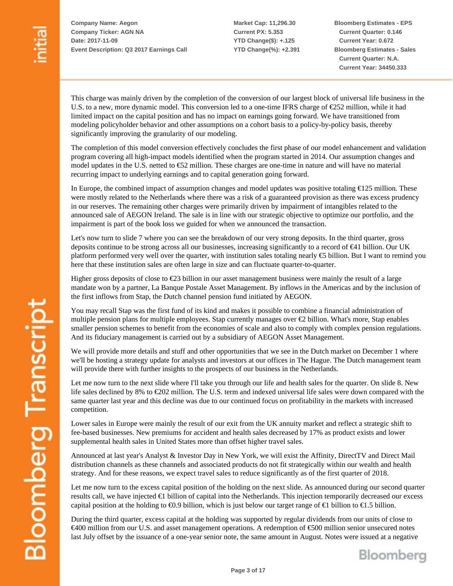**Market Cap: 11,296.30 Current PX: 5.353 YTD Change(\$): +.125 YTD Change(%): +2.391** **Bloomberg Estimates - EPS Current Quarter: 0.146 Current Year: 0.672 Bloomberg Estimates - Sales Current Quarter: N.A. Current Year: 34450.333**

This charge was mainly driven by the completion of the conversion of our largest block of universal life business in the U.S. to a new, more dynamic model. This conversion led to a one-time IFRS charge of €252 million, while it had limited impact on the capital position and has no impact on earnings going forward. We have transitioned from modeling policyholder behavior and other assumptions on a cohort basis to a policy-by-policy basis, thereby significantly improving the granularity of our modeling.

The completion of this model conversion effectively concludes the first phase of our model enhancement and validation program covering all high-impact models identified when the program started in 2014. Our assumption changes and model updates in the U.S. netted to €52 million. These charges are one-time in nature and will have no material recurring impact to underlying earnings and to capital generation going forward.

In Europe, the combined impact of assumption changes and model updates was positive totaling €125 million. These were mostly related to the Netherlands where there was a risk of a guaranteed provision as there was excess prudency in our reserves. The remaining other charges were primarily driven by impairment of intangibles related to the announced sale of AEGON Ireland. The sale is in line with our strategic objective to optimize our portfolio, and the impairment is part of the book loss we guided for when we announced the transaction.

Let's now turn to slide 7 where you can see the breakdown of our very strong deposits. In the third quarter, gross deposits continue to be strong across all our businesses, increasing significantly to a record of €41 billion. Our UK platform performed very well over the quarter, with institution sales totaling nearly  $\epsilon$ 5 billion. But I want to remind you here that these institution sales are often large in size and can fluctuate quarter-to-quarter.

Higher gross deposits of close to €23 billion in our asset management business were mainly the result of a large mandate won by a partner, La Banque Postale Asset Management. By inflows in the Americas and by the inclusion of the first inflows from Stap, the Dutch channel pension fund initiated by AEGON.

You may recall Stap was the first fund of its kind and makes it possible to combine a financial administration of multiple pension plans for multiple employees. Stap currently manages over €2 billion. What's more, Stap enables smaller pension schemes to benefit from the economies of scale and also to comply with complex pension regulations. And its fiduciary management is carried out by a subsidiary of AEGON Asset Management.

We will provide more details and stuff and other opportunities that we see in the Dutch market on December 1 where we'll be hosting a strategy update for analysts and investors at our offices in The Hague. The Dutch management team will provide there with further insights to the prospects of our business in the Netherlands.

Let me now turn to the next slide where I'll take you through our life and health sales for the quarter. On slide 8. New life sales declined by 8% to €202 million. The U.S. term and indexed universal life sales were down compared with the same quarter last year and this decline was due to our continued focus on profitability in the markets with increased competition.

Lower sales in Europe were mainly the result of our exit from the UK annuity market and reflect a strategic shift to fee-based businesses. New premiums for accident and health sales decreased by 17% as product exists and lower supplemental health sales in United States more than offset higher travel sales.

Announced at last year's Analyst & Investor Day in New York, we will exist the Affinity, DirectTV and Direct Mail distribution channels as these channels and associated products do not fit strategically within our wealth and health strategy. And for these reasons, we expect travel sales to reduce significantly as of the first quarter of 2018.

Let me now turn to the excess capital position of the holding on the next slide. As announced during our second quarter results call, we have injected €1 billion of capital into the Netherlands. This injection temporarily decreased our excess capital position at the holding to  $\epsilon 0.9$  billion, which is just below our target range of  $\epsilon 1$  billion to  $\epsilon 1.5$  billion.

During the third quarter, excess capital at the holding was supported by regular dividends from our units of close to €400 million from our U.S. and asset management operations. A redemption of €500 million senior unsecured notes last July offset by the issuance of a one-year senior note, the same amount in August. Notes were issued at a negative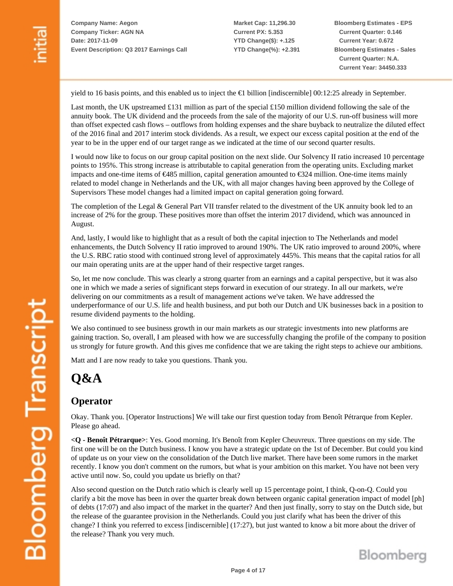**Market Cap: 11,296.30 Current PX: 5.353 YTD Change(\$): +.125 YTD Change(%): +2.391** **Bloomberg Estimates - EPS Current Quarter: 0.146 Current Year: 0.672 Bloomberg Estimates - Sales Current Quarter: N.A. Current Year: 34450.333**

yield to 16 basis points, and this enabled us to inject the €1 billion [indiscernible] 00:12:25 already in September.

Last month, the UK upstreamed £131 million as part of the special £150 million dividend following the sale of the annuity book. The UK dividend and the proceeds from the sale of the majority of our U.S. run-off business will more than offset expected cash flows – outflows from holding expenses and the share buyback to neutralize the diluted effect of the 2016 final and 2017 interim stock dividends. As a result, we expect our excess capital position at the end of the year to be in the upper end of our target range as we indicated at the time of our second quarter results.

I would now like to focus on our group capital position on the next slide. Our Solvency II ratio increased 10 percentage points to 195%. This strong increase is attributable to capital generation from the operating units. Excluding market impacts and one-time items of €485 million, capital generation amounted to €324 million. One-time items mainly related to model change in Netherlands and the UK, with all major changes having been approved by the College of Supervisors These model changes had a limited impact on capital generation going forward.

The completion of the Legal  $\&$  General Part VII transfer related to the divestment of the UK annuity book led to an increase of 2% for the group. These positives more than offset the interim 2017 dividend, which was announced in August.

And, lastly, I would like to highlight that as a result of both the capital injection to The Netherlands and model enhancements, the Dutch Solvency II ratio improved to around 190%. The UK ratio improved to around 200%, where the U.S. RBC ratio stood with continued strong level of approximately 445%. This means that the capital ratios for all our main operating units are at the upper hand of their respective target ranges.

So, let me now conclude. This was clearly a strong quarter from an earnings and a capital perspective, but it was also one in which we made a series of significant steps forward in execution of our strategy. In all our markets, we're delivering on our commitments as a result of management actions we've taken. We have addressed the underperformance of our U.S. life and health business, and put both our Dutch and UK businesses back in a position to resume dividend payments to the holding.

We also continued to see business growth in our main markets as our strategic investments into new platforms are gaining traction. So, overall, I am pleased with how we are successfully changing the profile of the company to position us strongly for future growth. And this gives me confidence that we are taking the right steps to achieve our ambitions.

Matt and I are now ready to take you questions. Thank you.

# **Q&A**

#### **Operator**

Okay. Thank you. [Operator Instructions] We will take our first question today from Benoît Pétrarque from Kepler. Please go ahead.

**<Q - Benoît Pétrarque>**: Yes. Good morning. It's Benoît from Kepler Cheuvreux. Three questions on my side. The first one will be on the Dutch business. I know you have a strategic update on the 1st of December. But could you kind of update us on your view on the consolidation of the Dutch live market. There have been some rumors in the market recently. I know you don't comment on the rumors, but what is your ambition on this market. You have not been very active until now. So, could you update us briefly on that?

Also second question on the Dutch ratio which is clearly well up 15 percentage point, I think, Q-on-Q. Could you clarify a bit the move has been in over the quarter break down between organic capital generation impact of model [ph] of debts (17:07) and also impact of the market in the quarter? And then just finally, sorry to stay on the Dutch side, but the release of the guarantee provision in the Netherlands. Could you just clarify what has been the driver of this change? I think you referred to excess [indiscernible] (17:27), but just wanted to know a bit more about the driver of the release? Thank you very much.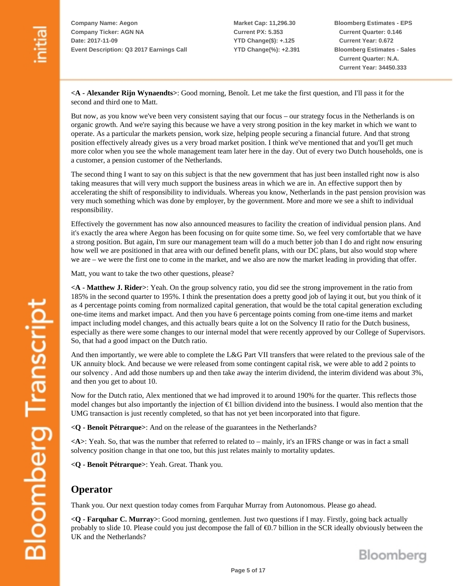**Market Cap: 11,296.30 Current PX: 5.353 YTD Change(\$): +.125 YTD Change(%): +2.391** **Bloomberg Estimates - EPS Current Quarter: 0.146 Current Year: 0.672 Bloomberg Estimates - Sales Current Quarter: N.A. Current Year: 34450.333**

**<A - Alexander Rijn Wynaendts>**: Good morning, Benoît. Let me take the first question, and I'll pass it for the second and third one to Matt.

But now, as you know we've been very consistent saying that our focus – our strategy focus in the Netherlands is on organic growth. And we're saying this because we have a very strong position in the key market in which we want to operate. As a particular the markets pension, work size, helping people securing a financial future. And that strong position effectively already gives us a very broad market position. I think we've mentioned that and you'll get much more color when you see the whole management team later here in the day. Out of every two Dutch households, one is a customer, a pension customer of the Netherlands.

The second thing I want to say on this subject is that the new government that has just been installed right now is also taking measures that will very much support the business areas in which we are in. An effective support then by accelerating the shift of responsibility to individuals. Whereas you know, Netherlands in the past pension provision was very much something which was done by employer, by the government. More and more we see a shift to individual responsibility.

Effectively the government has now also announced measures to facility the creation of individual pension plans. And it's exactly the area where Aegon has been focusing on for quite some time. So, we feel very comfortable that we have a strong position. But again, I'm sure our management team will do a much better job than I do and right now ensuring how well we are positioned in that area with our defined benefit plans, with our DC plans, but also would stop where we are – we were the first one to come in the market, and we also are now the market leading in providing that offer.

Matt, you want to take the two other questions, please?

**<A - Matthew J. Rider>**: Yeah. On the group solvency ratio, you did see the strong improvement in the ratio from 185% in the second quarter to 195%. I think the presentation does a pretty good job of laying it out, but you think of it as 4 percentage points coming from normalized capital generation, that would be the total capital generation excluding one-time items and market impact. And then you have 6 percentage points coming from one-time items and market impact including model changes, and this actually bears quite a lot on the Solvency II ratio for the Dutch business, especially as there were some changes to our internal model that were recently approved by our College of Supervisors. So, that had a good impact on the Dutch ratio.

And then importantly, we were able to complete the L&G Part VII transfers that were related to the previous sale of the UK annuity block. And because we were released from some contingent capital risk, we were able to add 2 points to our solvency . And add those numbers up and then take away the interim dividend, the interim dividend was about 3%, and then you get to about 10.

Now for the Dutch ratio, Alex mentioned that we had improved it to around 190% for the quarter. This reflects those model changes but also importantly the injection of €1 billion dividend into the business. I would also mention that the UMG transaction is just recently completed, so that has not yet been incorporated into that figure.

**<Q - Benoît Pétrarque>**: And on the release of the guarantees in the Netherlands?

**<A>**: Yeah. So, that was the number that referred to related to – mainly, it's an IFRS change or was in fact a small solvency position change in that one too, but this just relates mainly to mortality updates.

**<Q - Benoît Pétrarque>**: Yeah. Great. Thank you.

#### **Operator**

Thank you. Our next question today comes from Farquhar Murray from Autonomous. Please go ahead.

**<Q - Farquhar C. Murray>**: Good morning, gentlemen. Just two questions if I may. Firstly, going back actually probably to slide 10. Please could you just decompose the fall of €0.7 billion in the SCR ideally obviously between the UK and the Netherlands?



**Bloomberg Transcript**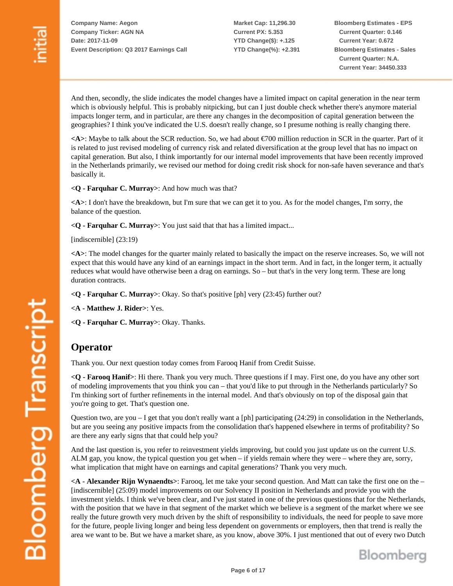**Market Cap: 11,296.30 Current PX: 5.353 YTD Change(\$): +.125 YTD Change(%): +2.391** **Bloomberg Estimates - EPS Current Quarter: 0.146 Current Year: 0.672 Bloomberg Estimates - Sales Current Quarter: N.A. Current Year: 34450.333**

And then, secondly, the slide indicates the model changes have a limited impact on capital generation in the near term which is obviously helpful. This is probably nitpicking, but can I just double check whether there's anymore material impacts longer term, and in particular, are there any changes in the decomposition of capital generation between the geographies? I think you've indicated the U.S. doesn't really change, so I presume nothing is really changing there.

**<A>**: Maybe to talk about the SCR reduction. So, we had about €700 million reduction in SCR in the quarter. Part of it is related to just revised modeling of currency risk and related diversification at the group level that has no impact on capital generation. But also, I think importantly for our internal model improvements that have been recently improved in the Netherlands primarily, we revised our method for doing credit risk shock for non-safe haven severance and that's basically it.

**<Q - Farquhar C. Murray>**: And how much was that?

**<A>**: I don't have the breakdown, but I'm sure that we can get it to you. As for the model changes, I'm sorry, the balance of the question.

**<Q - Farquhar C. Murray>**: You just said that that has a limited impact...

[indiscernible] (23:19)

**<A>**: The model changes for the quarter mainly related to basically the impact on the reserve increases. So, we will not expect that this would have any kind of an earnings impact in the short term. And in fact, in the longer term, it actually reduces what would have otherwise been a drag on earnings. So – but that's in the very long term. These are long duration contracts.

**<Q - Farquhar C. Murray>**: Okay. So that's positive [ph] very (23:45) further out?

**<A - Matthew J. Rider>**: Yes.

**<Q - Farquhar C. Murray>**: Okay. Thanks.

#### **Operator**

Thank you. Our next question today comes from Farooq Hanif from Credit Suisse.

**<Q - Farooq Hanif>**: Hi there. Thank you very much. Three questions if I may. First one, do you have any other sort of modeling improvements that you think you can – that you'd like to put through in the Netherlands particularly? So I'm thinking sort of further refinements in the internal model. And that's obviously on top of the disposal gain that you're going to get. That's question one.

Question two, are you  $-I$  get that you don't really want a [ph] participating (24:29) in consolidation in the Netherlands, but are you seeing any positive impacts from the consolidation that's happened elsewhere in terms of profitability? So are there any early signs that that could help you?

And the last question is, you refer to reinvestment yields improving, but could you just update us on the current U.S. ALM gap, you know, the typical question you get when – if yields remain where they were – where they are, sorry, what implication that might have on earnings and capital generations? Thank you very much.

**<A - Alexander Rijn Wynaendts>**: Farooq, let me take your second question. And Matt can take the first one on the – [indiscernible] (25:09) model improvements on our Solvency II position in Netherlands and provide you with the investment yields. I think we've been clear, and I've just stated in one of the previous questions that for the Netherlands, with the position that we have in that segment of the market which we believe is a segment of the market where we see really the future growth very much driven by the shift of responsibility to individuals, the need for people to save more for the future, people living longer and being less dependent on governments or employers, then that trend is really the area we want to be. But we have a market share, as you know, above 30%. I just mentioned that out of every two Dutch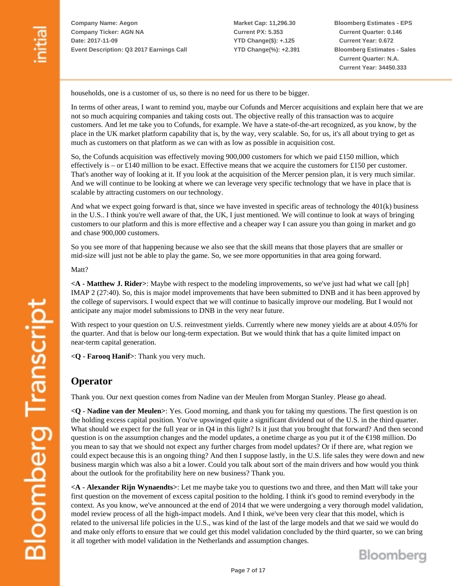**Market Cap: 11,296.30 Current PX: 5.353 YTD Change(\$): +.125 YTD Change(%): +2.391** **Bloomberg Estimates - EPS Current Quarter: 0.146 Current Year: 0.672 Bloomberg Estimates - Sales Current Quarter: N.A. Current Year: 34450.333**

households, one is a customer of us, so there is no need for us there to be bigger.

In terms of other areas, I want to remind you, maybe our Cofunds and Mercer acquisitions and explain here that we are not so much acquiring companies and taking costs out. The objective really of this transaction was to acquire customers. And let me take you to Cofunds, for example. We have a state-of-the-art recognized, as you know, by the place in the UK market platform capability that is, by the way, very scalable. So, for us, it's all about trying to get as much as customers on that platform as we can with as low as possible in acquisition cost.

So, the Cofunds acquisition was effectively moving 900,000 customers for which we paid £150 million, which effectively is – or £140 million to be exact. Effective means that we acquire the customers for £150 per customer. That's another way of looking at it. If you look at the acquisition of the Mercer pension plan, it is very much similar. And we will continue to be looking at where we can leverage very specific technology that we have in place that is scalable by attracting customers on our technology.

And what we expect going forward is that, since we have invested in specific areas of technology the 401(k) business in the U.S.. I think you're well aware of that, the UK, I just mentioned. We will continue to look at ways of bringing customers to our platform and this is more effective and a cheaper way I can assure you than going in market and go and chase 900,000 customers.

So you see more of that happening because we also see that the skill means that those players that are smaller or mid-size will just not be able to play the game. So, we see more opportunities in that area going forward.

Matt?

**<A - Matthew J. Rider>**: Maybe with respect to the modeling improvements, so we've just had what we call [ph] IMAP 2 (27:40). So, this is major model improvements that have been submitted to DNB and it has been approved by the college of supervisors. I would expect that we will continue to basically improve our modeling. But I would not anticipate any major model submissions to DNB in the very near future.

With respect to your question on U.S. reinvestment yields. Currently where new money yields are at about 4.05% for the quarter. And that is below our long-term expectation. But we would think that has a quite limited impact on near-term capital generation.

**<Q - Farooq Hanif>**: Thank you very much.

#### **Operator**

Thank you. Our next question comes from Nadine van der Meulen from Morgan Stanley. Please go ahead.

**<Q - Nadine van der Meulen>**: Yes. Good morning, and thank you for taking my questions. The first question is on the holding excess capital position. You've upswinged quite a significant dividend out of the U.S. in the third quarter. What should we expect for the full year or in Q4 in this light? Is it just that you brought that forward? And then second question is on the assumption changes and the model updates, a onetime charge as you put it of the €198 million. Do you mean to say that we should not expect any further charges from model updates? Or if there are, what region we could expect because this is an ongoing thing? And then I suppose lastly, in the U.S. life sales they were down and new business margin which was also a bit a lower. Could you talk about sort of the main drivers and how would you think about the outlook for the profitability here on new business? Thank you.

**<A - Alexander Rijn Wynaendts>**: Let me maybe take you to questions two and three, and then Matt will take your first question on the movement of excess capital position to the holding. I think it's good to remind everybody in the context. As you know, we've announced at the end of 2014 that we were undergoing a very thorough model validation, model review process of all the high-impact models. And I think, we've been very clear that this model, which is related to the universal life policies in the U.S., was kind of the last of the large models and that we said we would do and make only efforts to ensure that we could get this model validation concluded by the third quarter, so we can bring it all together with model validation in the Netherlands and assumption changes.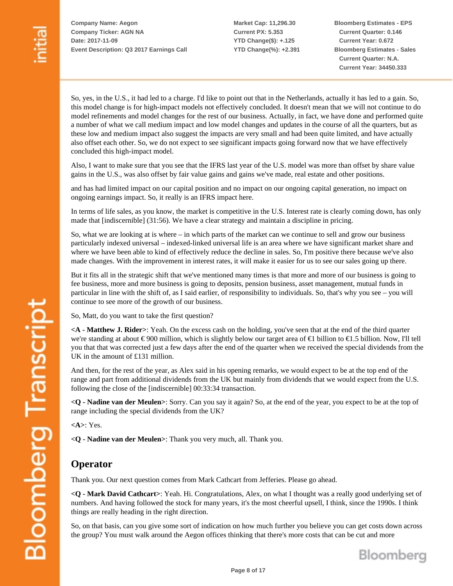**Market Cap: 11,296.30 Current PX: 5.353 YTD Change(\$): +.125 YTD Change(%): +2.391** **Bloomberg Estimates - EPS Current Quarter: 0.146 Current Year: 0.672 Bloomberg Estimates - Sales Current Quarter: N.A. Current Year: 34450.333**

So, yes, in the U.S., it had led to a charge. I'd like to point out that in the Netherlands, actually it has led to a gain. So, this model change is for high-impact models not effectively concluded. It doesn't mean that we will not continue to do model refinements and model changes for the rest of our business. Actually, in fact, we have done and performed quite a number of what we call medium impact and low model changes and updates in the course of all the quarters, but as these low and medium impact also suggest the impacts are very small and had been quite limited, and have actually also offset each other. So, we do not expect to see significant impacts going forward now that we have effectively concluded this high-impact model.

Also, I want to make sure that you see that the IFRS last year of the U.S. model was more than offset by share value gains in the U.S., was also offset by fair value gains and gains we've made, real estate and other positions.

and has had limited impact on our capital position and no impact on our ongoing capital generation, no impact on ongoing earnings impact. So, it really is an IFRS impact here.

In terms of life sales, as you know, the market is competitive in the U.S. Interest rate is clearly coming down, has only made that [indiscernible] (31:56). We have a clear strategy and maintain a discipline in pricing.

So, what we are looking at is where – in which parts of the market can we continue to sell and grow our business particularly indexed universal – indexed-linked universal life is an area where we have significant market share and where we have been able to kind of effectively reduce the decline in sales. So, I'm positive there because we've also made changes. With the improvement in interest rates, it will make it easier for us to see our sales going up there.

But it fits all in the strategic shift that we've mentioned many times is that more and more of our business is going to fee business, more and more business is going to deposits, pension business, asset management, mutual funds in particular in line with the shift of, as I said earlier, of responsibility to individuals. So, that's why you see – you will continue to see more of the growth of our business.

So, Matt, do you want to take the first question?

**<A - Matthew J. Rider>**: Yeah. On the excess cash on the holding, you've seen that at the end of the third quarter we're standing at about € 900 million, which is slightly below our target area of €1 billion to €1.5 billion. Now, I'll tell you that that was corrected just a few days after the end of the quarter when we received the special dividends from the UK in the amount of £131 million.

And then, for the rest of the year, as Alex said in his opening remarks, we would expect to be at the top end of the range and part from additional dividends from the UK but mainly from dividends that we would expect from the U.S. following the close of the [indiscernible] 00:33:34 transaction.

**<Q - Nadine van der Meulen>**: Sorry. Can you say it again? So, at the end of the year, you expect to be at the top of range including the special dividends from the UK?

**<A>**: Yes.

**<Q - Nadine van der Meulen>**: Thank you very much, all. Thank you.

#### **Operator**

Thank you. Our next question comes from Mark Cathcart from Jefferies. Please go ahead.

**<Q - Mark David Cathcart>**: Yeah. Hi. Congratulations, Alex, on what I thought was a really good underlying set of numbers. And having followed the stock for many years, it's the most cheerful upsell, I think, since the 1990s. I think things are really heading in the right direction.

So, on that basis, can you give some sort of indication on how much further you believe you can get costs down across the group? You must walk around the Aegon offices thinking that there's more costs that can be cut and more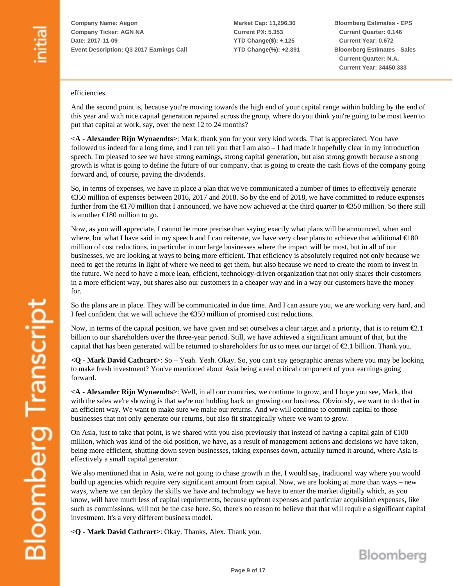**Market Cap: 11,296.30 Current PX: 5.353 YTD Change(\$): +.125 YTD Change(%): +2.391** **Bloomberg Estimates - EPS Current Quarter: 0.146 Current Year: 0.672 Bloomberg Estimates - Sales Current Quarter: N.A. Current Year: 34450.333**

#### efficiencies.

And the second point is, because you're moving towards the high end of your capital range within holding by the end of this year and with nice capital generation repaired across the group, where do you think you're going to be most keen to put that capital at work, say, over the next 12 to 24 months?

**<A - Alexander Rijn Wynaendts>**: Mark, thank you for your very kind words. That is appreciated. You have followed us indeed for a long time, and I can tell you that I am also – I had made it hopefully clear in my introduction speech. I'm pleased to see we have strong earnings, strong capital generation, but also strong growth because a strong growth is what is going to define the future of our company, that is going to create the cash flows of the company going forward and, of course, paying the dividends.

So, in terms of expenses, we have in place a plan that we've communicated a number of times to effectively generate  $\epsilon$ 350 million of expenses between 2016, 2017 and 2018. So by the end of 2018, we have committed to reduce expenses further from the  $\epsilon$ 170 million that I announced, we have now achieved at the third quarter to  $\epsilon$ 350 million. So there still is another €180 million to go.

Now, as you will appreciate, I cannot be more precise than saying exactly what plans will be announced, when and where, but what I have said in my speech and I can reiterate, we have very clear plans to achieve that additional  $\epsilon$ 180 million of cost reductions, in particular in our large businesses where the impact will be most, but in all of our businesses, we are looking at ways to being more efficient. That efficiency is absolutely required not only because we need to get the returns in light of where we need to get them, but also because we need to create the room to invest in the future. We need to have a more lean, efficient, technology-driven organization that not only shares their customers in a more efficient way, but shares also our customers in a cheaper way and in a way our customers have the money for.

So the plans are in place. They will be communicated in due time. And I can assure you, we are working very hard, and I feel confident that we will achieve the €350 million of promised cost reductions.

Now, in terms of the capital position, we have given and set ourselves a clear target and a priority, that is to return  $\epsilon_{2,1}$ billion to our shareholders over the three-year period. Still, we have achieved a significant amount of that, but the capital that has been generated will be returned to shareholders for us to meet our target of €2.1 billion. Thank you.

**<Q - Mark David Cathcart>**: So – Yeah. Yeah. Okay. So, you can't say geographic arenas where you may be looking to make fresh investment? You've mentioned about Asia being a real critical component of your earnings going forward.

**<A - Alexander Rijn Wynaendts>**: Well, in all our countries, we continue to grow, and I hope you see, Mark, that with the sales we're showing is that we're not holding back on growing our business. Obviously, we want to do that in an efficient way. We want to make sure we make our returns. And we will continue to commit capital to those businesses that not only generate our returns, but also fit strategically where we want to grow.

On Asia, just to take that point, is we shared with you also previously that instead of having a capital gain of  $\epsilon 100$ million, which was kind of the old position, we have, as a result of management actions and decisions we have taken, being more efficient, shutting down seven businesses, taking expenses down, actually turned it around, where Asia is effectively a small capital generator.

We also mentioned that in Asia, we're not going to chase growth in the, I would say, traditional way where you would build up agencies which require very significant amount from capital. Now, we are looking at more than ways – new ways, where we can deploy the skills we have and technology we have to enter the market digitally which, as you know, will have much less of capital requirements, because upfront expenses and particular acquisition expenses, like such as commissions, will not be the case here. So, there's no reason to believe that that will require a significant capital investment. It's a very different business model.

**<Q - Mark David Cathcart>**: Okay. Thanks, Alex. Thank you.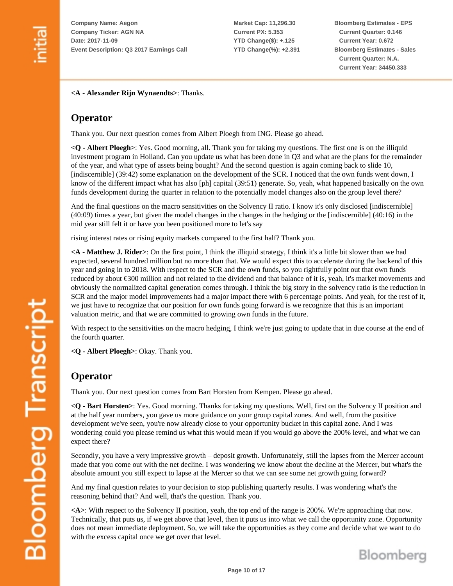**Market Cap: 11,296.30 Current PX: 5.353 YTD Change(\$): +.125 YTD Change(%): +2.391** **Bloomberg Estimates - EPS Current Quarter: 0.146 Current Year: 0.672 Bloomberg Estimates - Sales Current Quarter: N.A. Current Year: 34450.333**

**<A - Alexander Rijn Wynaendts>**: Thanks.

#### **Operator**

Thank you. Our next question comes from Albert Ploegh from ING. Please go ahead.

**<Q - Albert Ploegh>**: Yes. Good morning, all. Thank you for taking my questions. The first one is on the illiquid investment program in Holland. Can you update us what has been done in Q3 and what are the plans for the remainder of the year, and what type of assets being bought? And the second question is again coming back to slide 10, [indiscernible] (39:42) some explanation on the development of the SCR. I noticed that the own funds went down, I know of the different impact what has also [ph] capital (39:51) generate. So, yeah, what happened basically on the own funds development during the quarter in relation to the potentially model changes also on the group level there?

And the final questions on the macro sensitivities on the Solvency II ratio. I know it's only disclosed [indiscernible] (40:09) times a year, but given the model changes in the changes in the hedging or the [indiscernible] (40:16) in the mid year still felt it or have you been positioned more to let's say

rising interest rates or rising equity markets compared to the first half? Thank you.

**<A - Matthew J. Rider>**: On the first point, I think the illiquid strategy, I think it's a little bit slower than we had expected, several hundred million but no more than that. We would expect this to accelerate during the backend of this year and going in to 2018. With respect to the SCR and the own funds, so you rightfully point out that own funds reduced by about €300 million and not related to the dividend and that balance of it is, yeah, it's market movements and obviously the normalized capital generation comes through. I think the big story in the solvency ratio is the reduction in SCR and the major model improvements had a major impact there with 6 percentage points. And yeah, for the rest of it, we just have to recognize that our position for own funds going forward is we recognize that this is an important valuation metric, and that we are committed to growing own funds in the future.

With respect to the sensitivities on the macro hedging, I think we're just going to update that in due course at the end of the fourth quarter.

**<Q - Albert Ploegh>**: Okay. Thank you.

#### **Operator**

Thank you. Our next question comes from Bart Horsten from Kempen. Please go ahead.

**<Q - Bart Horsten>**: Yes. Good morning. Thanks for taking my questions. Well, first on the Solvency II position and at the half year numbers, you gave us more guidance on your group capital zones. And well, from the positive development we've seen, you're now already close to your opportunity bucket in this capital zone. And I was wondering could you please remind us what this would mean if you would go above the 200% level, and what we can expect there?

Secondly, you have a very impressive growth – deposit growth. Unfortunately, still the lapses from the Mercer account made that you come out with the net decline. I was wondering we know about the decline at the Mercer, but what's the absolute amount you still expect to lapse at the Mercer so that we can see some net growth going forward?

And my final question relates to your decision to stop publishing quarterly results. I was wondering what's the reasoning behind that? And well, that's the question. Thank you.

**<A>**: With respect to the Solvency II position, yeah, the top end of the range is 200%. We're approaching that now. Technically, that puts us, if we get above that level, then it puts us into what we call the opportunity zone. Opportunity does not mean immediate deployment. So, we will take the opportunities as they come and decide what we want to do with the excess capital once we get over that level.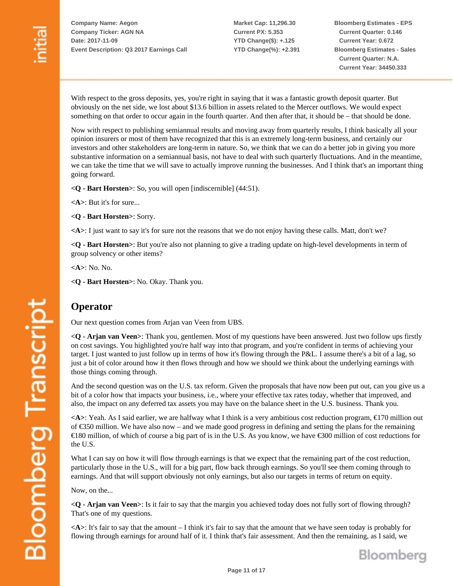**Market Cap: 11,296.30 Current PX: 5.353 YTD Change(\$): +.125 YTD Change(%): +2.391** **Bloomberg Estimates - EPS Current Quarter: 0.146 Current Year: 0.672 Bloomberg Estimates - Sales Current Quarter: N.A. Current Year: 34450.333**

With respect to the gross deposits, yes, you're right in saying that it was a fantastic growth deposit quarter. But obviously on the net side, we lost about \$13.6 billion in assets related to the Mercer outflows. We would expect something on that order to occur again in the fourth quarter. And then after that, it should be – that should be done.

Now with respect to publishing semiannual results and moving away from quarterly results, I think basically all your opinion insurers or most of them have recognized that this is an extremely long-term business, and certainly our investors and other stakeholders are long-term in nature. So, we think that we can do a better job in giving you more substantive information on a semiannual basis, not have to deal with such quarterly fluctuations. And in the meantime, we can take the time that we will save to actually improve running the businesses. And I think that's an important thing going forward.

**<Q - Bart Horsten>**: So, you will open [indiscernible] (44:51).

**<A>**: But it's for sure...

**<Q - Bart Horsten>**: Sorry.

**<A>**: I just want to say it's for sure not the reasons that we do not enjoy having these calls. Matt, don't we?

**<Q - Bart Horsten>**: But you're also not planning to give a trading update on high-level developments in term of group solvency or other items?

**<A>**: No. No.

**<Q - Bart Horsten>**: No. Okay. Thank you.

#### **Operator**

Our next question comes from Arjan van Veen from UBS.

**<Q - Arjan van Veen>**: Thank you, gentlemen. Most of my questions have been answered. Just two follow ups firstly on cost savings. You highlighted you're half way into that program, and you're confident in terms of achieving your target. I just wanted to just follow up in terms of how it's flowing through the P&L. I assume there's a bit of a lag, so just a bit of color around how it then flows through and how we should we think about the underlying earnings with those things coming through.

And the second question was on the U.S. tax reform. Given the proposals that have now been put out, can you give us a bit of a color how that impacts your business, i.e., where your effective tax rates today, whether that improved, and also, the impact on any deferred tax assets you may have on the balance sheet in the U.S. business. Thank you.

**<A>**: Yeah. As I said earlier, we are halfway what I think is a very ambitious cost reduction program, €170 million out of €350 million. We have also now – and we made good progress in defining and setting the plans for the remaining €180 million, of which of course a big part of is in the U.S. As you know, we have €300 million of cost reductions for the U.S.

What I can say on how it will flow through earnings is that we expect that the remaining part of the cost reduction, particularly those in the U.S., will for a big part, flow back through earnings. So you'll see them coming through to earnings. And that will support obviously not only earnings, but also our targets in terms of return on equity.

Now, on the...

**<Q - Arjan van Veen>**: Is it fair to say that the margin you achieved today does not fully sort of flowing through? That's one of my questions.

**<A>**: It's fair to say that the amount – I think it's fair to say that the amount that we have seen today is probably for flowing through earnings for around half of it. I think that's fair assessment. And then the remaining, as I said, we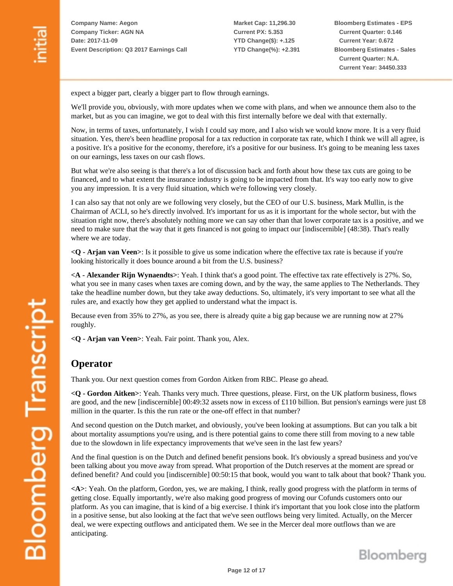**Market Cap: 11,296.30 Current PX: 5.353 YTD Change(\$): +.125 YTD Change(%): +2.391** **Bloomberg Estimates - EPS Current Quarter: 0.146 Current Year: 0.672 Bloomberg Estimates - Sales Current Quarter: N.A. Current Year: 34450.333**

expect a bigger part, clearly a bigger part to flow through earnings.

We'll provide you, obviously, with more updates when we come with plans, and when we announce them also to the market, but as you can imagine, we got to deal with this first internally before we deal with that externally.

Now, in terms of taxes, unfortunately, I wish I could say more, and I also wish we would know more. It is a very fluid situation. Yes, there's been headline proposal for a tax reduction in corporate tax rate, which I think we will all agree, is a positive. It's a positive for the economy, therefore, it's a positive for our business. It's going to be meaning less taxes on our earnings, less taxes on our cash flows.

But what we're also seeing is that there's a lot of discussion back and forth about how these tax cuts are going to be financed, and to what extent the insurance industry is going to be impacted from that. It's way too early now to give you any impression. It is a very fluid situation, which we're following very closely.

I can also say that not only are we following very closely, but the CEO of our U.S. business, Mark Mullin, is the Chairman of ACLI, so he's directly involved. It's important for us as it is important for the whole sector, but with the situation right now, there's absolutely nothing more we can say other than that lower corporate tax is a positive, and we need to make sure that the way that it gets financed is not going to impact our [indiscernible] (48:38). That's really where we are today.

**<Q - Arjan van Veen>**: Is it possible to give us some indication where the effective tax rate is because if you're looking historically it does bounce around a bit from the U.S. business?

**<A - Alexander Rijn Wynaendts>**: Yeah. I think that's a good point. The effective tax rate effectively is 27%. So, what you see in many cases when taxes are coming down, and by the way, the same applies to The Netherlands. They take the headline number down, but they take away deductions. So, ultimately, it's very important to see what all the rules are, and exactly how they get applied to understand what the impact is.

Because even from 35% to 27%, as you see, there is already quite a big gap because we are running now at 27% roughly.

**<Q - Arjan van Veen>**: Yeah. Fair point. Thank you, Alex.

#### **Operator**

Thank you. Our next question comes from Gordon Aitken from RBC. Please go ahead.

**<Q - Gordon Aitken>**: Yeah. Thanks very much. Three questions, please. First, on the UK platform business, flows are good, and the new [indiscernible]  $00:49:32$  assets now in excess of £110 billion. But pension's earnings were just £8 million in the quarter. Is this the run rate or the one-off effect in that number?

And second question on the Dutch market, and obviously, you've been looking at assumptions. But can you talk a bit about mortality assumptions you're using, and is there potential gains to come there still from moving to a new table due to the slowdown in life expectancy improvements that we've seen in the last few years?

And the final question is on the Dutch and defined benefit pensions book. It's obviously a spread business and you've been talking about you move away from spread. What proportion of the Dutch reserves at the moment are spread or defined benefit? And could you [indiscernible] 00:50:15 that book, would you want to talk about that book? Thank you.

**<A>**: Yeah. On the platform, Gordon, yes, we are making, I think, really good progress with the platform in terms of getting close. Equally importantly, we're also making good progress of moving our Cofunds customers onto our platform. As you can imagine, that is kind of a big exercise. I think it's important that you look close into the platform in a positive sense, but also looking at the fact that we've seen outflows being very limited. Actually, on the Mercer deal, we were expecting outflows and anticipated them. We see in the Mercer deal more outflows than we are anticipating.



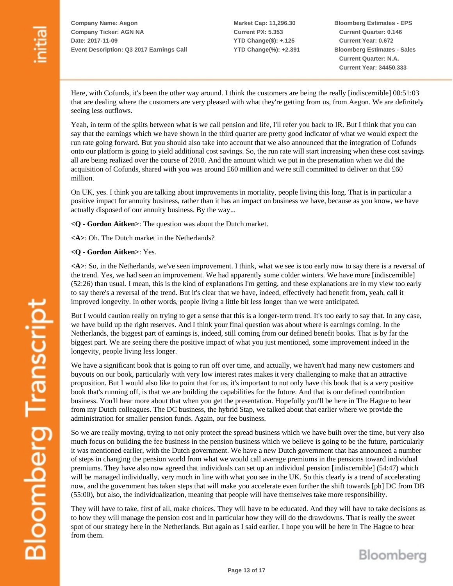**Market Cap: 11,296.30 Current PX: 5.353 YTD Change(\$): +.125 YTD Change(%): +2.391** **Bloomberg Estimates - EPS Current Quarter: 0.146 Current Year: 0.672 Bloomberg Estimates - Sales Current Quarter: N.A. Current Year: 34450.333**

Here, with Cofunds, it's been the other way around. I think the customers are being the really [indiscernible] 00:51:03 that are dealing where the customers are very pleased with what they're getting from us, from Aegon. We are definitely seeing less outflows.

Yeah, in term of the splits between what is we call pension and life, I'll refer you back to IR. But I think that you can say that the earnings which we have shown in the third quarter are pretty good indicator of what we would expect the run rate going forward. But you should also take into account that we also announced that the integration of Cofunds onto our platform is going to yield additional cost savings. So, the run rate will start increasing when these cost savings all are being realized over the course of 2018. And the amount which we put in the presentation when we did the acquisition of Cofunds, shared with you was around  $£60$  million and we're still committed to deliver on that  $£60$ million.

On UK, yes. I think you are talking about improvements in mortality, people living this long. That is in particular a positive impact for annuity business, rather than it has an impact on business we have, because as you know, we have actually disposed of our annuity business. By the way...

**<Q - Gordon Aitken>**: The question was about the Dutch market.

**<A>**: Oh. The Dutch market in the Netherlands?

**<Q - Gordon Aitken>**: Yes.

**<A>**: So, in the Netherlands, we've seen improvement. I think, what we see is too early now to say there is a reversal of the trend. Yes, we had seen an improvement. We had apparently some colder winters. We have more [indiscernible] (52:26) than usual. I mean, this is the kind of explanations I'm getting, and these explanations are in my view too early to say there's a reversal of the trend. But it's clear that we have, indeed, effectively had benefit from, yeah, call it improved longevity. In other words, people living a little bit less longer than we were anticipated.

But I would caution really on trying to get a sense that this is a longer-term trend. It's too early to say that. In any case, we have build up the right reserves. And I think your final question was about where is earnings coming. In the Netherlands, the biggest part of earnings is, indeed, still coming from our defined benefit books. That is by far the biggest part. We are seeing there the positive impact of what you just mentioned, some improvement indeed in the longevity, people living less longer.

We have a significant book that is going to run off over time, and actually, we haven't had many new customers and buyouts on our book, particularly with very low interest rates makes it very challenging to make that an attractive proposition. But I would also like to point that for us, it's important to not only have this book that is a very positive book that's running off, is that we are building the capabilities for the future. And that is our defined contribution business. You'll hear more about that when you get the presentation. Hopefully you'll be here in The Hague to hear from my Dutch colleagues. The DC business, the hybrid Stap, we talked about that earlier where we provide the administration for smaller pension funds. Again, our fee business.

So we are really moving, trying to not only protect the spread business which we have built over the time, but very also much focus on building the fee business in the pension business which we believe is going to be the future, particularly it was mentioned earlier, with the Dutch government. We have a new Dutch government that has announced a number of steps in changing the pension world from what we would call average premiums in the pensions toward individual premiums. They have also now agreed that individuals can set up an individual pension [indiscernible] (54:47) which will be managed individually, very much in line with what you see in the UK. So this clearly is a trend of accelerating now, and the government has taken steps that will make you accelerate even further the shift towards [ph] DC from DB (55:00), but also, the individualization, meaning that people will have themselves take more responsibility.

They will have to take, first of all, make choices. They will have to be educated. And they will have to take decisions as to how they will manage the pension cost and in particular how they will do the drawdowns. That is really the sweet spot of our strategy here in the Netherlands. But again as I said earlier, I hope you will be here in The Hague to hear from them.

**Bloomberg Transcript**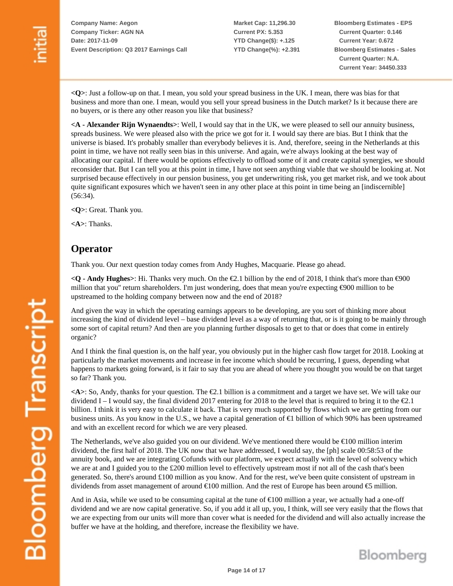**Market Cap: 11,296.30 Current PX: 5.353 YTD Change(\$): +.125 YTD Change(%): +2.391** **Bloomberg Estimates - EPS Current Quarter: 0.146 Current Year: 0.672 Bloomberg Estimates - Sales Current Quarter: N.A. Current Year: 34450.333**

**<Q>**: Just a follow-up on that. I mean, you sold your spread business in the UK. I mean, there was bias for that business and more than one. I mean, would you sell your spread business in the Dutch market? Is it because there are no buyers, or is there any other reason you like that business?

**<A - Alexander Rijn Wynaendts>**: Well, I would say that in the UK, we were pleased to sell our annuity business, spreads business. We were pleased also with the price we got for it. I would say there are bias. But I think that the universe is biased. It's probably smaller than everybody believes it is. And, therefore, seeing in the Netherlands at this point in time, we have not really seen bias in this universe. And again, we're always looking at the best way of allocating our capital. If there would be options effectively to offload some of it and create capital synergies, we should reconsider that. But I can tell you at this point in time, I have not seen anything viable that we should be looking at. Not surprised because effectively in our pension business, you get underwriting risk, you get market risk, and we took about quite significant exposures which we haven't seen in any other place at this point in time being an [indiscernible] (56:34).

**<Q>**: Great. Thank you.

**<A>**: Thanks.

#### **Operator**

Thank you. Our next question today comes from Andy Hughes, Macquarie. Please go ahead.

**<Q - Andy Hughes>**: Hi. Thanks very much. On the €2.1 billion by the end of 2018, I think that's more than €900 million that you'' return shareholders. I'm just wondering, does that mean you're expecting €900 million to be upstreamed to the holding company between now and the end of 2018?

And given the way in which the operating earnings appears to be developing, are you sort of thinking more about increasing the kind of dividend level – base dividend level as a way of returning that, or is it going to be mainly through some sort of capital return? And then are you planning further disposals to get to that or does that come in entirely organic?

And I think the final question is, on the half year, you obviously put in the higher cash flow target for 2018. Looking at particularly the market movements and increase in fee income which should be recurring, I guess, depending what happens to markets going forward, is it fair to say that you are ahead of where you thought you would be on that target so far? Thank you.

**<A>**: So, Andy, thanks for your question. The €2.1 billion is a commitment and a target we have set. We will take our dividend I – I would say, the final dividend 2017 entering for 2018 to the level that is required to bring it to the  $\epsilon 2.1$ billion. I think it is very easy to calculate it back. That is very much supported by flows which we are getting from our business units. As you know in the U.S., we have a capital generation of  $\epsilon$ 1 billion of which 90% has been upstreamed and with an excellent record for which we are very pleased.

The Netherlands, we've also guided you on our dividend. We've mentioned there would be  $\epsilon$ 100 million interim dividend, the first half of 2018. The UK now that we have addressed, I would say, the [ph] scale 00:58:53 of the annuity book, and we are integrating Cofunds with our platform, we expect actually with the level of solvency which we are at and I guided you to the £200 million level to effectively upstream most if not all of the cash that's been generated. So, there's around  $\pounds 100$  million as you know. And for the rest, we've been quite consistent of upstream in dividends from asset management of around  $\epsilon$ 100 million. And the rest of Europe has been around  $\epsilon$ 5 million.

And in Asia, while we used to be consuming capital at the tune of  $\epsilon$ 100 million a year, we actually had a one-off dividend and we are now capital generative. So, if you add it all up, you, I think, will see very easily that the flows that we are expecting from our units will more than cover what is needed for the dividend and will also actually increase the buffer we have at the holding, and therefore, increase the flexibility we have.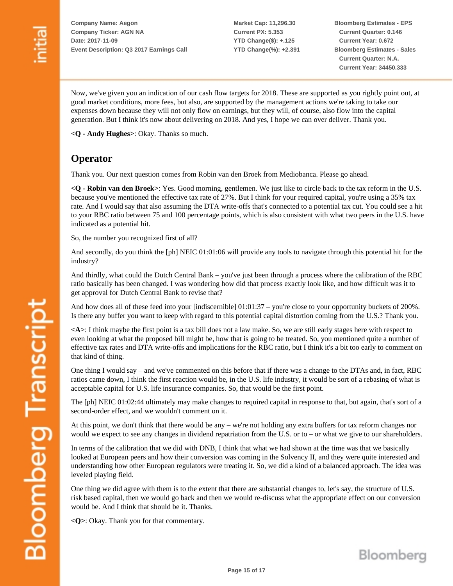**Market Cap: 11,296.30 Current PX: 5.353 YTD Change(\$): +.125 YTD Change(%): +2.391** **Bloomberg Estimates - EPS Current Quarter: 0.146 Current Year: 0.672 Bloomberg Estimates - Sales Current Quarter: N.A. Current Year: 34450.333**

Now, we've given you an indication of our cash flow targets for 2018. These are supported as you rightly point out, at good market conditions, more fees, but also, are supported by the management actions we're taking to take our expenses down because they will not only flow on earnings, but they will, of course, also flow into the capital generation. But I think it's now about delivering on 2018. And yes, I hope we can over deliver. Thank you.

**<Q - Andy Hughes>**: Okay. Thanks so much.

#### **Operator**

Thank you. Our next question comes from Robin van den Broek from Mediobanca. Please go ahead.

**<Q - Robin van den Broek>**: Yes. Good morning, gentlemen. We just like to circle back to the tax reform in the U.S. because you've mentioned the effective tax rate of 27%. But I think for your required capital, you're using a 35% tax rate. And I would say that also assuming the DTA write-offs that's connected to a potential tax cut. You could see a hit to your RBC ratio between 75 and 100 percentage points, which is also consistent with what two peers in the U.S. have indicated as a potential hit.

So, the number you recognized first of all?

And secondly, do you think the [ph] NEIC 01:01:06 will provide any tools to navigate through this potential hit for the industry?

And thirdly, what could the Dutch Central Bank – you've just been through a process where the calibration of the RBC ratio basically has been changed. I was wondering how did that process exactly look like, and how difficult was it to get approval for Dutch Central Bank to revise that?

And how does all of these feed into your [indiscernible] 01:01:37 – you're close to your opportunity buckets of 200%. Is there any buffer you want to keep with regard to this potential capital distortion coming from the U.S.? Thank you.

**<A>**: I think maybe the first point is a tax bill does not a law make. So, we are still early stages here with respect to even looking at what the proposed bill might be, how that is going to be treated. So, you mentioned quite a number of effective tax rates and DTA write-offs and implications for the RBC ratio, but I think it's a bit too early to comment on that kind of thing.

One thing I would say – and we've commented on this before that if there was a change to the DTAs and, in fact, RBC ratios came down, I think the first reaction would be, in the U.S. life industry, it would be sort of a rebasing of what is acceptable capital for U.S. life insurance companies. So, that would be the first point.

The [ph] NEIC 01:02:44 ultimately may make changes to required capital in response to that, but again, that's sort of a second-order effect, and we wouldn't comment on it.

At this point, we don't think that there would be any – we're not holding any extra buffers for tax reform changes nor would we expect to see any changes in dividend repatriation from the U.S. or to – or what we give to our shareholders.

In terms of the calibration that we did with DNB, I think that what we had shown at the time was that we basically looked at European peers and how their conversion was coming in the Solvency II, and they were quite interested and understanding how other European regulators were treating it. So, we did a kind of a balanced approach. The idea was leveled playing field.

One thing we did agree with them is to the extent that there are substantial changes to, let's say, the structure of U.S. risk based capital, then we would go back and then we would re-discuss what the appropriate effect on our conversion would be. And I think that should be it. Thanks.

**<Q>**: Okay. Thank you for that commentary.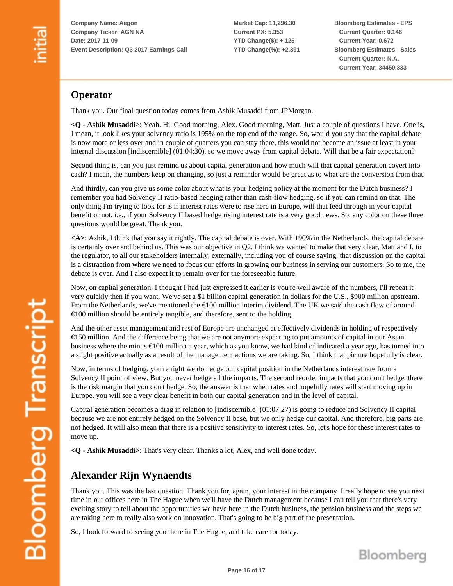**Market Cap: 11,296.30 Current PX: 5.353 YTD Change(\$): +.125 YTD Change(%): +2.391** **Bloomberg Estimates - EPS Current Quarter: 0.146 Current Year: 0.672 Bloomberg Estimates - Sales Current Quarter: N.A. Current Year: 34450.333**

### **Operator**

Thank you. Our final question today comes from Ashik Musaddi from JPMorgan.

**<Q - Ashik Musaddi>**: Yeah. Hi. Good morning, Alex. Good morning, Matt. Just a couple of questions I have. One is, I mean, it look likes your solvency ratio is 195% on the top end of the range. So, would you say that the capital debate is now more or less over and in couple of quarters you can stay there, this would not become an issue at least in your internal discussion [indiscernible] (01:04:30), so we move away from capital debate. Will that be a fair expectation?

Second thing is, can you just remind us about capital generation and how much will that capital generation covert into cash? I mean, the numbers keep on changing, so just a reminder would be great as to what are the conversion from that.

And thirdly, can you give us some color about what is your hedging policy at the moment for the Dutch business? I remember you had Solvency II ratio-based hedging rather than cash-flow hedging, so if you can remind on that. The only thing I'm trying to look for is if interest rates were to rise here in Europe, will that feed through in your capital benefit or not, i.e., if your Solvency II based hedge rising interest rate is a very good news. So, any color on these three questions would be great. Thank you.

**<A>**: Ashik, I think that you say it rightly. The capital debate is over. With 190% in the Netherlands, the capital debate is certainly over and behind us. This was our objective in Q2. I think we wanted to make that very clear, Matt and I, to the regulator, to all our stakeholders internally, externally, including you of course saying, that discussion on the capital is a distraction from where we need to focus our efforts in growing our business in serving our customers. So to me, the debate is over. And I also expect it to remain over for the foreseeable future.

Now, on capital generation, I thought I had just expressed it earlier is you're well aware of the numbers, I'll repeat it very quickly then if you want. We've set a \$1 billion capital generation in dollars for the U.S., \$900 million upstream. From the Netherlands, we've mentioned the €100 million interim dividend. The UK we said the cash flow of around  $\epsilon$ 100 million should be entirely tangible, and therefore, sent to the holding.

And the other asset management and rest of Europe are unchanged at effectively dividends in holding of respectively €150 million. And the difference being that we are not anymore expecting to put amounts of capital in our Asian business where the minus €100 million a year, which as you know, we had kind of indicated a year ago, has turned into a slight positive actually as a result of the management actions we are taking. So, I think that picture hopefully is clear.

Now, in terms of hedging, you're right we do hedge our capital position in the Netherlands interest rate from a Solvency II point of view. But you never hedge all the impacts. The second reorder impacts that you don't hedge, there is the risk margin that you don't hedge. So, the answer is that when rates and hopefully rates will start moving up in Europe, you will see a very clear benefit in both our capital generation and in the level of capital.

Capital generation becomes a drag in relation to [indiscernible] (01:07:27) is going to reduce and Solvency II capital because we are not entirely hedged on the Solvency II base, but we only hedge our capital. And therefore, big parts are not hedged. It will also mean that there is a positive sensitivity to interest rates. So, let's hope for these interest rates to move up.

**<Q - Ashik Musaddi>**: That's very clear. Thanks a lot, Alex, and well done today.

#### **Alexander Rijn Wynaendts**

Thank you. This was the last question. Thank you for, again, your interest in the company. I really hope to see you next time in our offices here in The Hague when we'll have the Dutch management because I can tell you that there's very exciting story to tell about the opportunities we have here in the Dutch business, the pension business and the steps we are taking here to really also work on innovation. That's going to be big part of the presentation.

So, I look forward to seeing you there in The Hague, and take care for today.